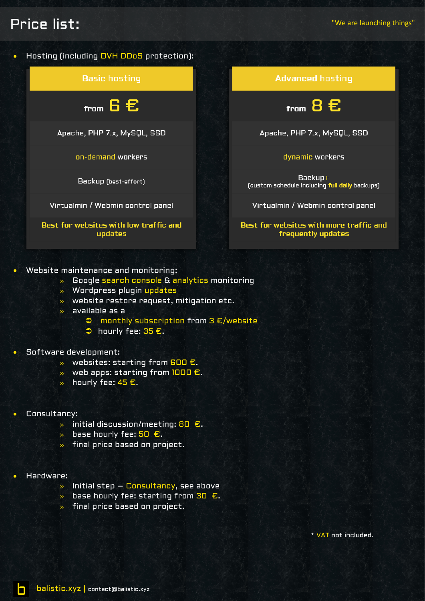# Price list:

Backup+





### • Website maintenance and monitoring:

- » Google search console & analytics monitoring
- » Wordpress plugin updates
- » website restore request, mitigation etc.
- » available as a
	- monthly subscription from 3 €/website
	- $\Rightarrow$  hourly fee:  $35 \text{ E}$ .

### • Software development:

- $\gg$  websites: starting from 600 €.
- $\gg$  web apps: starting from 1000 €.
- » hourly fee:  $45 €$ .
- Consultancy:
	- » initial discussion/meeting: 80 €.
	- $\rightarrow$  base hourly fee: 50 €.
	- » final price based on project.
- Hardware:

h

- $\lambda$  Initial step Consultancy, see above
- $\rightarrow$  base hourly fee: starting from 30  $\epsilon$ .
- » final price based on project.

\* VAT not included.